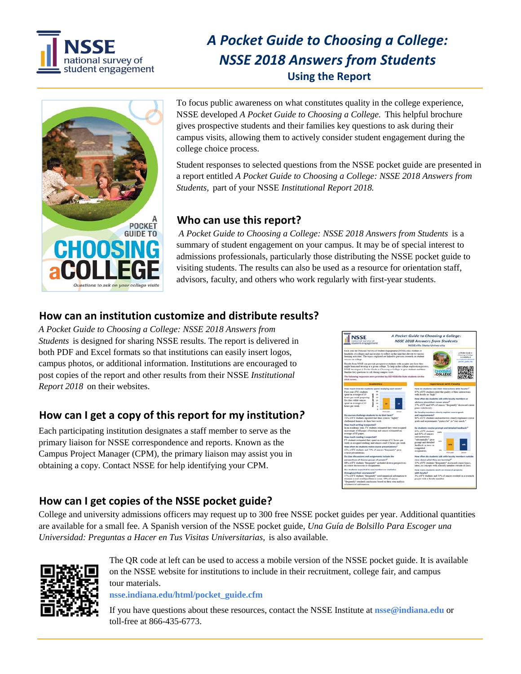

# *A Pocket Guide to Choosing a College: NSSE 2018 Answers from Students*  **Using the Report**



To focus public awareness on what constitutes quality in the college experience, NSSE developed *A Pocket Guide to Choosing a College.* This helpful brochure gives prospective students and their families key questions to ask during their campus visits, allowing them to actively consider student engagement during the college choice process.

Student responses to selected questions from the NSSE pocket guide are presented in a report entitled *A Pocket Guide to Choosing a College: NSSE 2018 Answers from Students,* part of your NSSE *Institutional Report 2018.* 

# **Who can use this report?**

 *A Pocket Guide to Choosing a College: NSSE 2018 Answers from Students* is a summary of student engagement on your campus. It may be of special interest to admissions professionals, particularly those distributing the NSSE pocket guide to visiting students. The results can also be used as a resource for orientation staff, advisors, faculty, and others who work regularly with first-year students.

# **How can an institution customize and distribute results?**

*A Pocket Guide to Choosing a College: NSSE 2018 Answers from Students* is designed for sharing NSSE results. The report is delivered in both PDF and Excel formats so that institutions can easily insert logos, campus photos, or additional information. Institutions are encouraged to post copies of the report and other results from their NSSE *Institutional Report 2018* on their websites.

# **How can I get a copy of this report for my institution***?*

Each participating institution designates a staff member to serve as the primary liaison for NSSE correspondence and reports. Known as the Campus Project Manager (CPM), the primary liaison may assist you in obtaining a copy. Contact NSSE for help identifying your CPM.



# **How can I get copies of the NSSE pocket guide?**

College and university admissions officers may request up to 300 free NSSE pocket guides per year. Additional quantities are available for a small fee. A Spanish version of the NSSE pocket guide, *Una Guía de Bolsillo Para Escoger una Universidad: Preguntas a Hacer en Tus Visitas Universitarias,* is also available.



The QR code at left can be used to access a mobile version of the NSSE pocket guide. It is available on the NSSE website for institutions to include in their recruitment, college fair, and campus tour materials.

**[nsse.indiana.edu/html/pocket\\_guide.cfm](https://nsse.indiana.edu/html/pocket_guide.cfm)**

If you have questions about these resources, contact the NSSE Institute at **[nsse@indiana.edu](mailto:nsse@indiana.edu)** or toll-free at 866-435-6773.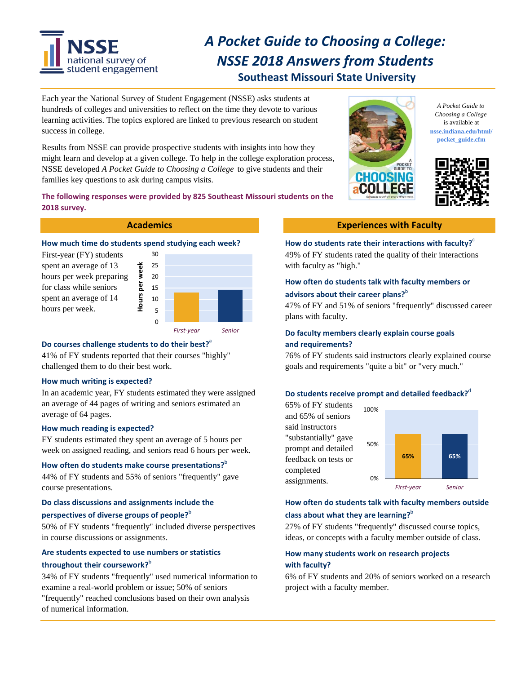

# *A Pocket Guide to Choosing a College: NSSE 2018 Answers from Students*  **Southeast Missouri State University**

Each year the National Survey of Student Engagement (NSSE) asks students at hundreds of colleges and universities to reflect on the time they devote to various learning activities. The topics explored are linked to previous research on student success in college.

Results from NSSE can provide prospective students with insights into how they might learn and develop at a given college. To help in the college exploration process, NSSE developed *A Pocket Guide to Choosing a College* to give students and their families key questions to ask during campus visits.

## **The following responses were provided by 825 Southeast Missouri students on the 2018 survey.**



## How much time do students spend studying each week? How do students rate their interactions with faculty?  $e^{\epsilon}$

hours per week preparing for class while seniors spent an average of 14 hours per week.



## **Do courses challenge students to do their best?**<sup>a</sup>

41% of FY students reported that their courses "highly" challenged them to do their best work.

#### **How much writing is expected?**

In an academic year, FY students estimated they were assigned an average of 44 pages of writing and seniors estimated an average of 64 pages.

#### **How much reading is expected?**

FY students estimated they spent an average of 5 hours per week on assigned reading, and seniors read 6 hours per week.

## How often do students make course presentations?<sup>b</sup>

44% of FY students and 55% of seniors "frequently" gave course presentations. *First‐year Senior*

## **Do class discussions and assignments include the**

## **perspectives of diverse groups of people?**<sup>b</sup>

50% of FY students "frequently" included diverse perspectives in course discussions or assignments.

## **Are students expected to use numbers or statistics throughout their coursework?**<sup>b</sup>

34% of FY students "frequently" used numerical information to examine a real-world problem or issue; 50% of seniors "frequently" reached conclusions based on their own analysis of numerical information.



*A Pocket Guide to Choosing a College*  is available at **[nsse.indiana.edu/html/](https://nsse.indiana.edu/html) pocket\_guide.cfm**



#### **Academics Experiences with Faculty**

First-year (FY) students 30 49% of FY students rated the quality of their interactions How do students rate their interactions with faculty?<sup>*c*</sup>

## **How often do students talk with faculty members or advisors about their career plans?**<sup>b</sup>

47% of FY and 51% of seniors "frequently" discussed career

## *First‐year Senior* **Do faculty members clearly explain course goals and requirements?**

76% of FY students said instructors clearly explained course goals and requirements "quite a bit" or "very much."

## **Do** students receive prompt and detailed feedback?<sup>d</sup>



## **How often do students talk with faculty members outside class about what they are learning?**<sup>b</sup>

27% of FY students "frequently" discussed course topics, ideas, or concepts with a faculty member outside of class.

## **How many students work on research projects with faculty?**

6% of FY students and 20% of seniors worked on a research project with a faculty member.